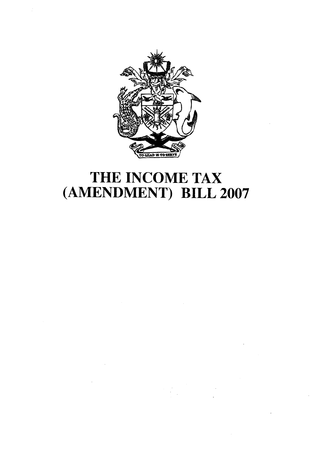

# THE INCOME TAX (AMENDMENT) BILL 2007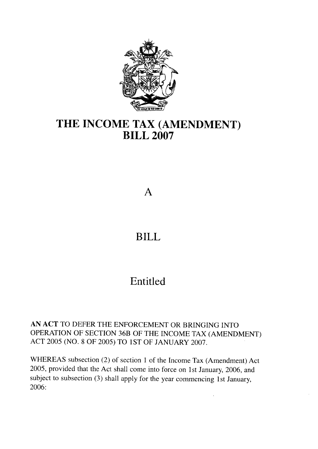

## THE INCOME TAX (AMENDMENT) BILL 2OO7

#### A

### BILL

### Entitled

AN ACT TO DEFER THE ENFORCEMENT OR BRINGING INTO OPERATION OF SECTION 36B OF THE INCOME TAX (AMENDMENT) ACT 2005 (NO. 8 OF 2005) TO 1ST OF JANUARY 2007.

WHEREAS subsection (2) of section 1 of the lncome Tax (Amendment) Act 2005, provided that the Act shall come into force on 1st January, 2006, and subject to subsection (3) shall apply for the year commencing 1st January, 2006: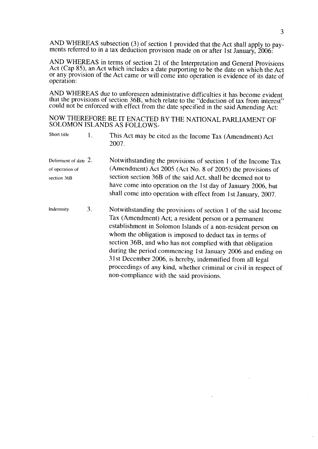AND WHEREAS subsection (3) of section 1 provided that the Act shall apply to payments referred to in a tax deduction provision made on or after 1st January,  $2006$ .

AND WHEREAS in terms of section 21 of the Interpretation and General Provisions Act (Cap 85), an Act which includes a date purporting to be the date on which the Act or any.provision of the Act came or will come into operation is evidence of its date of operation:

AND WHEREAS due to unforeseen administrative difficulties it has become evident that the provisions of section 36B, which relate to the "deduction of tax from interest" could not be enforced with effect from the date specified in the said Amending Act:

NOW THEREFORE BE IT ENACTED BY THE NATIONAL PARLIAMENT OF SOLOMON ISLANDS AS FOLLOWS.

| Short title | This Act may be cited as the Income Tax (Amendment) Act |
|-------------|---------------------------------------------------------|
|             | 2007.                                                   |
|             |                                                         |

- Deferment of date 2. of operation of section 368 Notwithstanding the provisions of section 1 of the Income Tax (Amendment) Act 2005 (Acr No. 8 of 2005) the provisions of section section 368 of the said Act, shall be deemed not to have come into operation on the 1st day of January 2006, but shall come into operation with effect from lst January, 2007.
- Indemnity  $3.$ Notwithstanding the provisions of section I of the said Income Tax (Amendment) Act; a resident person or a permanent establishment in Solomon Islands of a non-resident person on whom the obligation is imposed to deduct tax in terms of section 368, and who has not complied with that obligation during the period commencing lst January 2OO6 and ending on 3l st December 2006, is hereby, indemnified from all legal proceedings of any kind, whether criminal or civil in respect of non-compliance with the said provisions.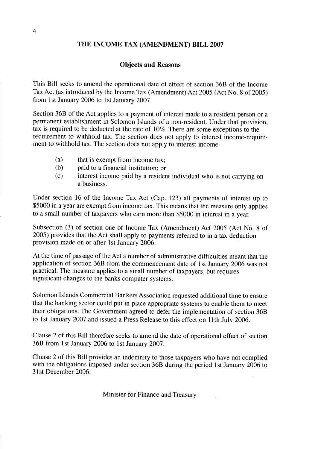#### THE INCOME TAX (AMENDMENT) BILL 2007

#### Objects and Reasons

This Bill seeks to amend the operational date of effect of section 368 of the Income Tax Act (as introduced by the Income Tax (Amendment) Act 2005 (Act No. 8 of 2005) from lst January 2006 to lst January 2007.

Section 368 of the Act applies to a payment of interest made to a resident person or a permanent establishment in Solomon Islands of a non-resident. Under that provision, tax is required to be deducted at the rate of  $10\%$ . There are some exceptions to the requirement to withhold tax. The section does not apply to interest income-requirement to withhold tax. The section does not apply to interest income-

- (a) that is exempt from income tax;
- (b) paid to a financial institution: or
- $(c)$ interest income paid by a resident individual who is not carrying on a business.

Under section 16 of the Income Tax Act (Cap. 123) all payments of interest up to \$5000 in a year are exempt from income tax. This means that the measure only applies to a small number of taxpayers who earn more than \$5000 in interest in a year.

Subsection (3) of section one of Income Tax (Amendment) Act 2005 (Act No. 8 of 2005) provides that the Act shall apply to payments referred to in a tax deduction provision made on or after lst January 2006.

At the time of passage of the Act a number of administrative difficulties meant that the application of section 368 from the commencement date of lst January 2006 was not practical. The measure applies to a small number of taxpayers, but requires significant changes to the banks computer systems.

Solomon Islands Commercial Bankers Association requested additional time to ensure that the banking sector could put in place appropriate systems to enable them to meet their obligations. The Government agreed to defer the implementation of section 368 to 1st January 2007 and issued a Press Release to this effect on 11th July 2006.

Clause 2 of this Bill therefore seeks to amend the date of operational effect of section 368 from lst January 2006 to lst January 2007.

Cluase 2 of this Bill provides an indemnity to those taxpayers who have not complied with the obligations imposed under section 368 during the period 1st January 2006 to 31st December 2006.

Minister for Finance and Treasury